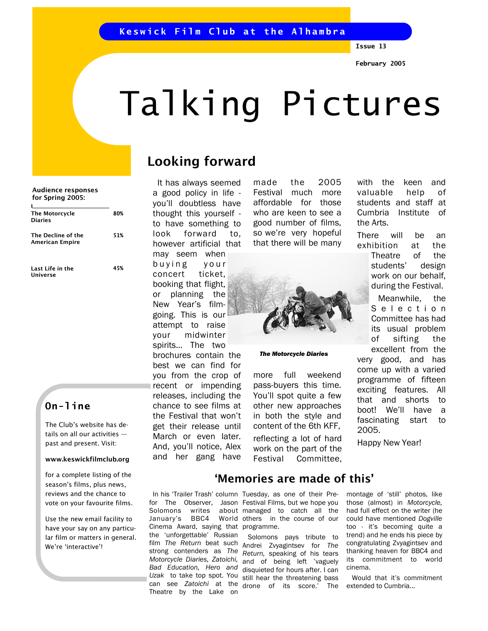Issue 13

# Talking Pictures

# Looking forward

 It has always seemed a good policy in life you'll doubtless have thought this yourself to have something to look forward to, however artificial that may seem when buying your concert ticket, booking that flight, or planning the New Year's filmgoing. This is our attempt to raise your midwinter spirits… The two brochures contain the best we can find for you from the crop of recent or impending releases, including the chance to see films at the Festival that won't get their release until March or even later. And, you'll notice, Alex and her gang have

Solomons writes January's BBC4

the 'unforgettable' Russian film The Return beat such strong contenders as The Motorcycle Diaries, Zatoichi, Bad Education, Hero and

can see Zatoichi at the Theatre by the Lake on

made the 2005 Festival much more affordable for those who are keen to see a good number of films, so we're very hopeful that there will be many



#### The Motorcycle Diaries

more full weekend pass-buyers this time. You'll spot quite a few other new approaches in both the style and content of the 6th KFF, reflecting a lot of hard work on the part of the Festival Committee,

with the keen and valuable help of students and staff at Cumbria Institute of the Arts.

There will be an exhibition at the

Theatre of the students' design work on our behalf, during the Festival.

 Meanwhile, the S e l e c t i o n Committee has had its usual problem of sifting the excellent from the

very good, and has come up with a varied programme of fifteen exciting features. All that and shorts to boot! We'll have a fascinating start to 2005.

Happy New Year!

Hero The Motorcycle Diaries 80% The Decline of the American Empire 51% Audience responses for Spring 2005:

Last Life in the Universe 45%

# On-line

The Club's website has details on all our activities past and present. Visit:

#### www.keswickfilmclub.org

for a complete listing of the season's films, plus news, reviews and the chance to vote on your favourite films.

Use the new email facility to have your say on any particular film or matters in general. We're 'interactive'!

 In his 'Trailer Trash' column Tuesday, as one of their Prefor The Observer, Jason Festival Films, but we hope you Cinema Award, saying that programme. about managed to catch all the World others in the course of our

'Memories are made of this'

Uzak to take top spot. You still hear the threatening bass Solomons pays tribute to Andrei Zvyagintsev for The Return, speaking of his tears and of being left 'vaguely disquieted for hours after. I can drone of its score.' The montage of 'still' photos, like those (almost) in Motorcycle, had full effect on the writer (he could have mentioned Dogville too - it's becoming quite a trend) and he ends his piece by congratulating Zvyagintsev and thanking heaven for BBC4 and its commitment to world cinema.

 Would that it's commitment extended to Cumbria...